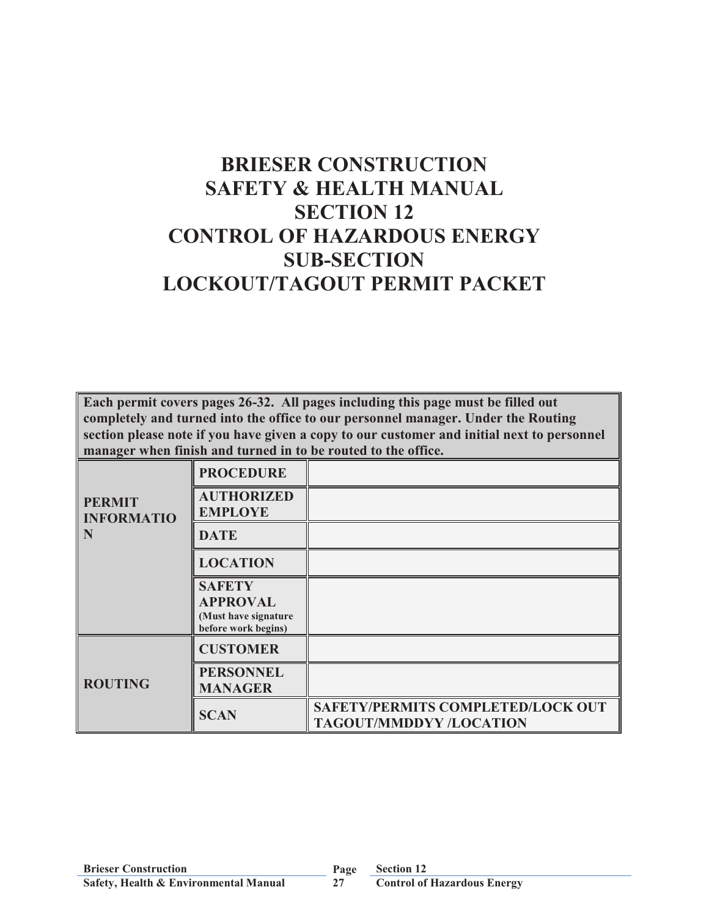# **BRIESER CONSTRUCTION SAFETY & HEALTH MANUAL SECTION 12 CONTROL OF HAZARDOUS ENERGY SUB-SECTION LOCKOUT/TAGOUT PERMIT PACKET**

**Each permit covers pages 26-32. All pages including this page must be filled out completely and turned into the office to our personnel manager. Under the Routing section please note if you have given a copy to our customer and initial next to personnel manager when finish and turned in to be routed to the office.**

|                                    | <b>PROCEDURE</b>                                                                |                                                                     |
|------------------------------------|---------------------------------------------------------------------------------|---------------------------------------------------------------------|
| <b>PERMIT</b><br><b>INFORMATIO</b> | <b>AUTHORIZED</b><br><b>EMPLOYE</b>                                             |                                                                     |
| N                                  | <b>DATE</b>                                                                     |                                                                     |
|                                    | <b>LOCATION</b>                                                                 |                                                                     |
|                                    | <b>SAFETY</b><br><b>APPROVAL</b><br>(Must have signature<br>before work begins) |                                                                     |
|                                    | <b>CUSTOMER</b>                                                                 |                                                                     |
| <b>ROUTING</b>                     | <b>PERSONNEL</b><br><b>MANAGER</b>                                              |                                                                     |
|                                    | <b>SCAN</b>                                                                     | SAFETY/PERMITS COMPLETED/LOCK OUT<br><b>TAGOUT/MMDDYY /LOCATION</b> |

**Section 12**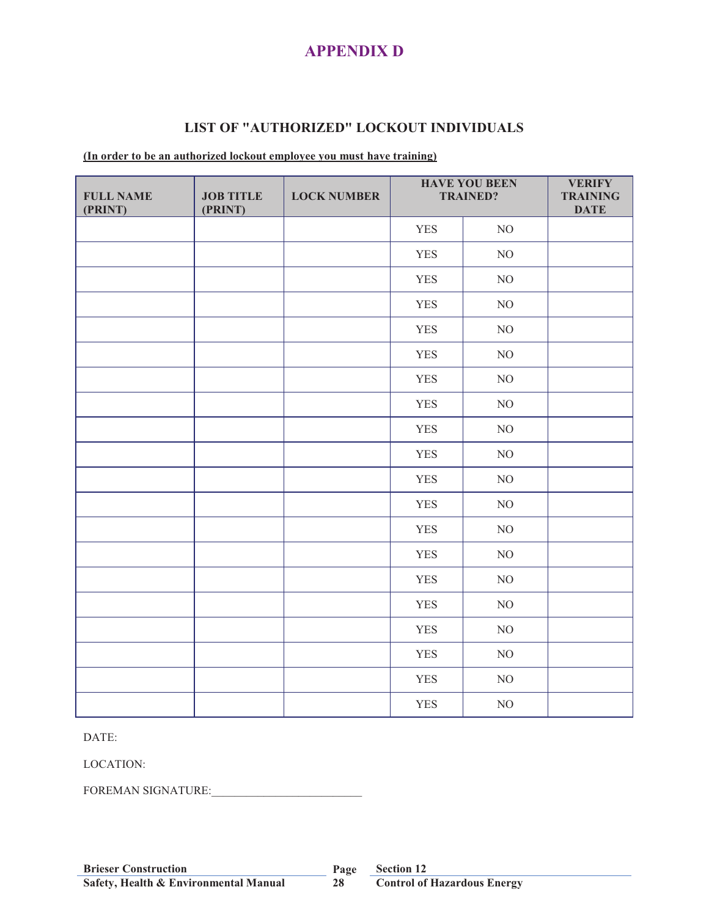## **APPENDIX D**

#### **LIST OF "AUTHORIZED" LOCKOUT INDIVIDUALS**

#### **(In order to be an authorized lockout employee you must have training)**

| <b>FULL NAME</b><br>(PRINT) | <b>JOB TITLE</b><br>(PRINT) | <b>LOCK NUMBER</b> |            | <b>HAVE YOU BEEN</b><br><b>TRAINED?</b> | <b>VERIFY</b><br><b>TRAINING</b><br><b>DATE</b> |
|-----------------------------|-----------------------------|--------------------|------------|-----------------------------------------|-------------------------------------------------|
|                             |                             |                    | <b>YES</b> | NO                                      |                                                 |
|                             |                             |                    | <b>YES</b> | $\rm NO$                                |                                                 |
|                             |                             |                    | <b>YES</b> | $\rm NO$                                |                                                 |
|                             |                             |                    | <b>YES</b> | $\rm NO$                                |                                                 |
|                             |                             |                    | <b>YES</b> | $\rm NO$                                |                                                 |
|                             |                             |                    | <b>YES</b> | $\rm NO$                                |                                                 |
|                             |                             |                    | <b>YES</b> | $\rm NO$                                |                                                 |
|                             |                             |                    | <b>YES</b> | NO                                      |                                                 |
|                             |                             |                    | <b>YES</b> | $\rm NO$                                |                                                 |
|                             |                             |                    | <b>YES</b> | $NO$                                    |                                                 |
|                             |                             |                    | <b>YES</b> | $\rm NO$                                |                                                 |
|                             |                             |                    | <b>YES</b> | $\rm NO$                                |                                                 |
|                             |                             |                    | <b>YES</b> | $\rm NO$                                |                                                 |
|                             |                             |                    | <b>YES</b> | $\rm NO$                                |                                                 |
|                             |                             |                    | <b>YES</b> | $\rm NO$                                |                                                 |
|                             |                             |                    | <b>YES</b> | $\rm NO$                                |                                                 |
|                             |                             |                    | <b>YES</b> | $\rm NO$                                |                                                 |
|                             |                             |                    | <b>YES</b> | NO                                      |                                                 |
|                             |                             |                    | <b>YES</b> | $\rm NO$                                |                                                 |
|                             |                             |                    | <b>YES</b> | $\rm NO$                                |                                                 |

DATE:

LOCATION:

FOREMAN SIGNATURE:

**28**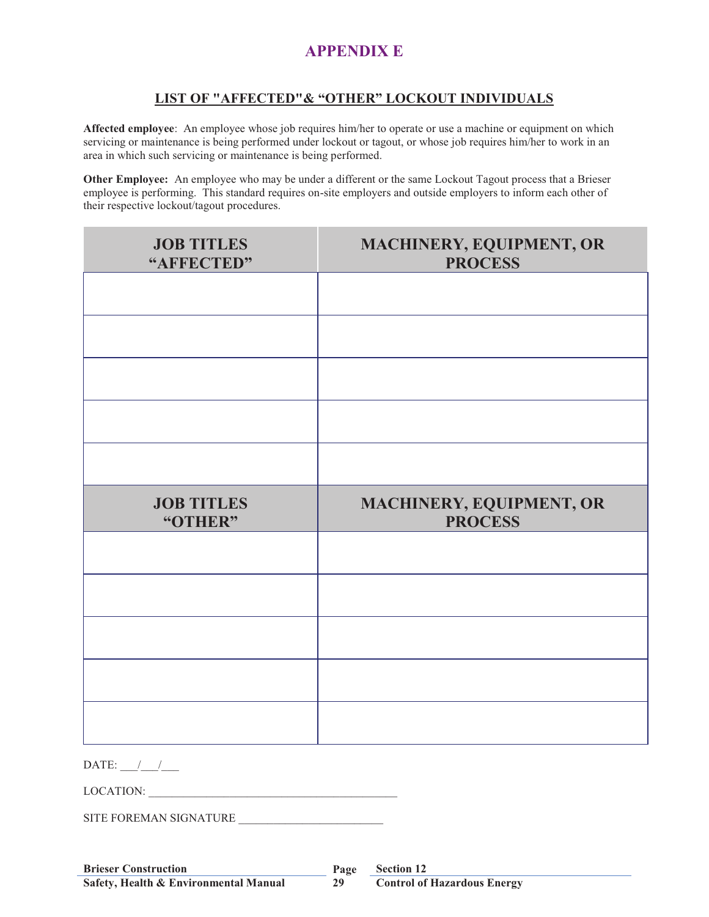# **APPENDIX E**

#### **LIST OF "AFFECTED"& "OTHER" LOCKOUT INDIVIDUALS**

**Affected employee**: An employee whose job requires him/her to operate or use a machine or equipment on which servicing or maintenance is being performed under lockout or tagout, or whose job requires him/her to work in an area in which such servicing or maintenance is being performed.

**Other Employee:** An employee who may be under a different or the same Lockout Tagout process that a Brieser employee is performing. This standard requires on-site employers and outside employers to inform each other of their respective lockout/tagout procedures.

| <b>JOB TITLES</b><br>"AFFECTED" | MACHINERY, EQUIPMENT, OR<br><b>PROCESS</b> |
|---------------------------------|--------------------------------------------|
|                                 |                                            |
|                                 |                                            |
|                                 |                                            |
|                                 |                                            |
|                                 |                                            |
| <b>JOB TITLES</b><br>"OTHER"    | MACHINERY, EQUIPMENT, OR<br><b>PROCESS</b> |
|                                 |                                            |
|                                 |                                            |
|                                 |                                            |
|                                 |                                            |
|                                 |                                            |
| DATE: $\frac{1}{\sqrt{2}}$      |                                            |
| LOCATION:                       |                                            |

SITE FOREMAN SIGNATURE

**29**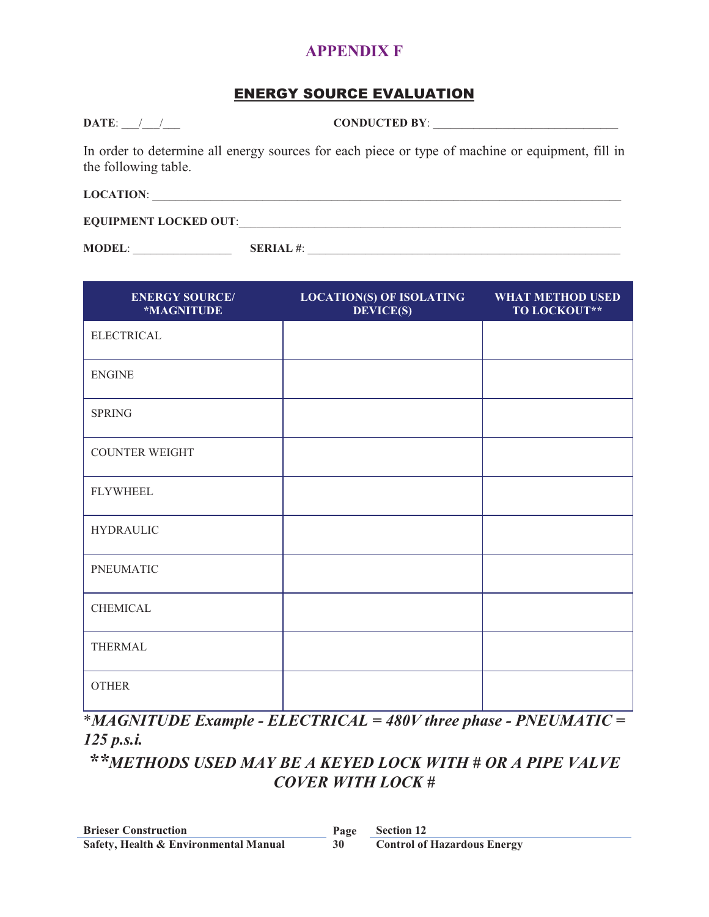### **APPENDIX F**

## ENERGY SOURCE EVALUATION

**DATE:**  $\qquad \qquad / \qquad \qquad$  **CONDUCTED BY**:

In order to determine all energy sources for each piece or type of machine or equipment, fill in the following table.

**LOCATION:** 

**EQUIPMENT LOCKED OUT:** 

**MODEL**: \_\_\_\_\_\_\_\_\_\_\_\_\_\_\_\_\_ **SERIAL #**: \_\_\_\_\_\_\_\_\_\_\_\_\_\_\_\_\_\_\_\_\_\_\_\_\_\_\_\_\_\_\_\_\_\_\_\_\_\_\_\_\_\_\_\_\_\_\_\_\_\_\_\_\_\_

| <b>ENERGY SOURCE/</b><br>*MAGNITUDE | <b>LOCATION(S) OF ISOLATING</b><br><b>DEVICE(S)</b> | <b>WHAT METHOD USED</b><br>TO LOCKOUT** |
|-------------------------------------|-----------------------------------------------------|-----------------------------------------|
| <b>ELECTRICAL</b>                   |                                                     |                                         |
| <b>ENGINE</b>                       |                                                     |                                         |
| <b>SPRING</b>                       |                                                     |                                         |
| <b>COUNTER WEIGHT</b>               |                                                     |                                         |
| <b>FLYWHEEL</b>                     |                                                     |                                         |
| <b>HYDRAULIC</b>                    |                                                     |                                         |
| <b>PNEUMATIC</b>                    |                                                     |                                         |
| <b>CHEMICAL</b>                     |                                                     |                                         |
| <b>THERMAL</b>                      |                                                     |                                         |
| <b>OTHER</b>                        |                                                     |                                         |

\**MAGNITUDE Example - ELECTRICAL = 480V three phase - PNEUMATIC = 125 p.s.i.* 

*\*\*METHODS USED MAY BE A KEYED LOCK WITH # OR A PIPE VALVE COVER WITH LOCK #*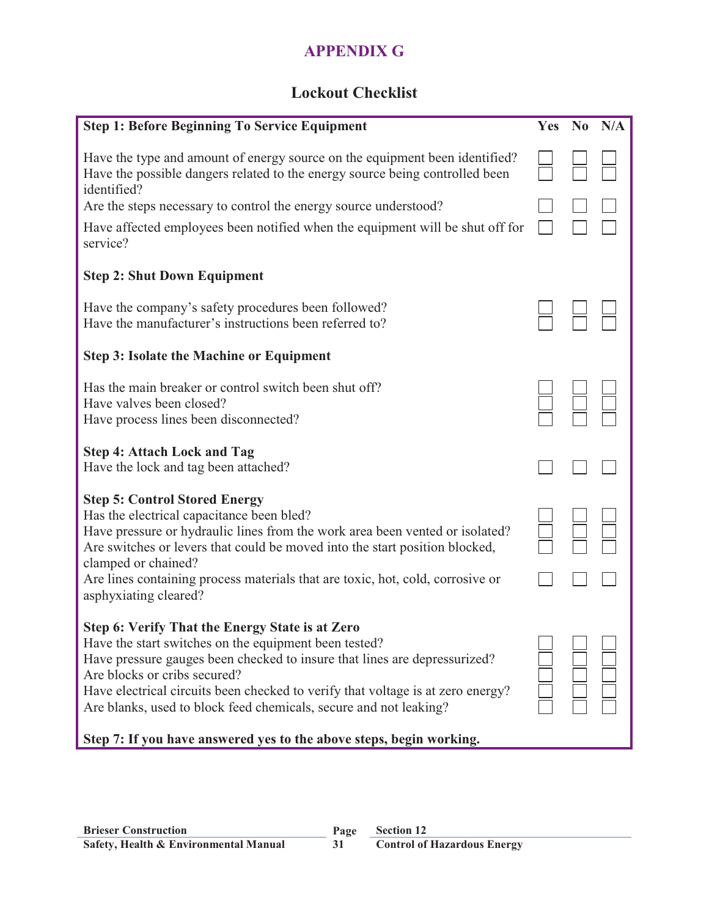# **APPENDIX G**

# **Lockout Checklist**

| <b>Step 1: Before Beginning To Service Equipment</b>                                                                                                                                                                                                                                                                                                                               | Yes | No N/A |
|------------------------------------------------------------------------------------------------------------------------------------------------------------------------------------------------------------------------------------------------------------------------------------------------------------------------------------------------------------------------------------|-----|--------|
| Have the type and amount of energy source on the equipment been identified?<br>Have the possible dangers related to the energy source being controlled been<br>identified?                                                                                                                                                                                                         |     |        |
| Are the steps necessary to control the energy source understood?                                                                                                                                                                                                                                                                                                                   |     |        |
| Have affected employees been notified when the equipment will be shut off for<br>service?                                                                                                                                                                                                                                                                                          |     |        |
| <b>Step 2: Shut Down Equipment</b>                                                                                                                                                                                                                                                                                                                                                 |     |        |
| Have the company's safety procedures been followed?<br>Have the manufacturer's instructions been referred to?                                                                                                                                                                                                                                                                      |     |        |
| <b>Step 3: Isolate the Machine or Equipment</b>                                                                                                                                                                                                                                                                                                                                    |     |        |
| Has the main breaker or control switch been shut off?<br>Have valves been closed?<br>Have process lines been disconnected?                                                                                                                                                                                                                                                         |     |        |
| <b>Step 4: Attach Lock and Tag</b><br>Have the lock and tag been attached?                                                                                                                                                                                                                                                                                                         |     |        |
| <b>Step 5: Control Stored Energy</b><br>Has the electrical capacitance been bled?<br>Have pressure or hydraulic lines from the work area been vented or isolated?<br>Are switches or levers that could be moved into the start position blocked,<br>clamped or chained?<br>Are lines containing process materials that are toxic, hot, cold, corrosive or<br>asphyxiating cleared? |     |        |
| Step 6: Verify That the Energy State is at Zero<br>Have the start switches on the equipment been tested?<br>Have pressure gauges been checked to insure that lines are depressurized?<br>Are blocks or cribs secured?<br>Have electrical circuits been checked to verify that voltage is at zero energy?<br>Are blanks, used to block feed chemicals, secure and not leaking?      |     |        |

# **Step 7: If you have answered yes to the above steps, begin working.**

**31**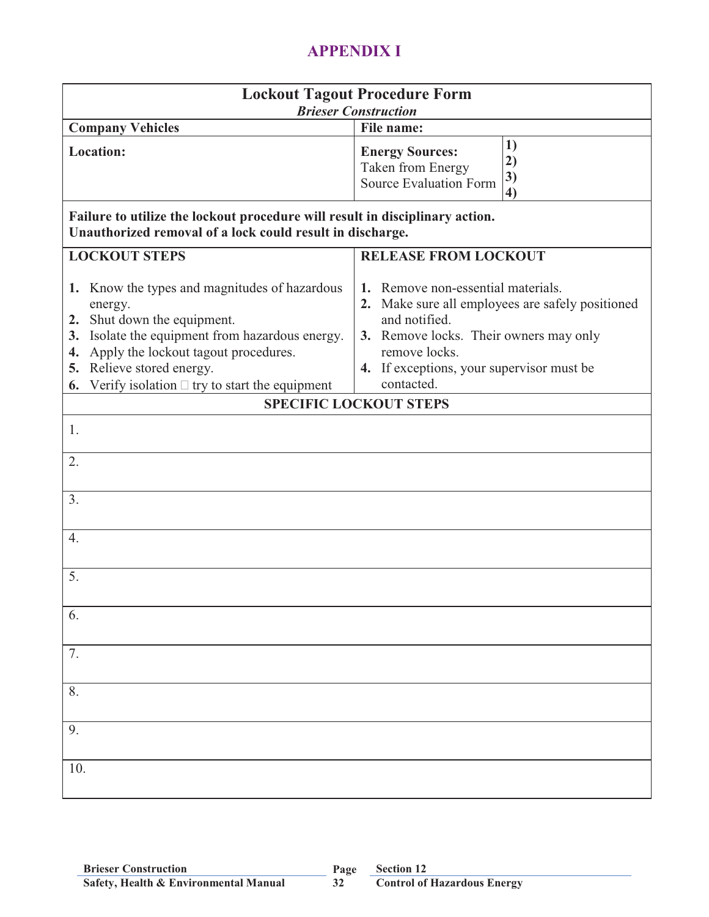# **APPENDIX I**

|                                                                                                                                                                                                                                                                                         | <b>Lockout Tagout Procedure Form</b><br><b>Brieser Construction</b>                                                                                                                                                              |
|-----------------------------------------------------------------------------------------------------------------------------------------------------------------------------------------------------------------------------------------------------------------------------------------|----------------------------------------------------------------------------------------------------------------------------------------------------------------------------------------------------------------------------------|
| <b>Company Vehicles</b>                                                                                                                                                                                                                                                                 | File name:                                                                                                                                                                                                                       |
| <b>Location:</b><br>Failure to utilize the lockout procedure will result in disciplinary action.<br>Unauthorized removal of a lock could result in discharge.                                                                                                                           | 1)<br><b>Energy Sources:</b><br>2)<br>Taken from Energy<br>3)<br><b>Source Evaluation Form</b><br>$\boldsymbol{4}$                                                                                                               |
| <b>LOCKOUT STEPS</b>                                                                                                                                                                                                                                                                    | <b>RELEASE FROM LOCKOUT</b>                                                                                                                                                                                                      |
| 1. Know the types and magnitudes of hazardous<br>energy.<br>2. Shut down the equipment.<br>Isolate the equipment from hazardous energy.<br>3.<br>Apply the lockout tagout procedures.<br>4.<br>Relieve stored energy.<br>5.<br>Verify isolation $\Box$ try to start the equipment<br>6. | Remove non-essential materials.<br>1.<br>2. Make sure all employees are safely positioned<br>and notified.<br>3. Remove locks. Their owners may only<br>remove locks.<br>4. If exceptions, your supervisor must be<br>contacted. |
|                                                                                                                                                                                                                                                                                         | <b>SPECIFIC LOCKOUT STEPS</b>                                                                                                                                                                                                    |
| 1.<br>2.                                                                                                                                                                                                                                                                                |                                                                                                                                                                                                                                  |
| 3.                                                                                                                                                                                                                                                                                      |                                                                                                                                                                                                                                  |
| 4.                                                                                                                                                                                                                                                                                      |                                                                                                                                                                                                                                  |
| 5.                                                                                                                                                                                                                                                                                      |                                                                                                                                                                                                                                  |
| 6.                                                                                                                                                                                                                                                                                      |                                                                                                                                                                                                                                  |
| 7.                                                                                                                                                                                                                                                                                      |                                                                                                                                                                                                                                  |
| 8.                                                                                                                                                                                                                                                                                      |                                                                                                                                                                                                                                  |
| 9.                                                                                                                                                                                                                                                                                      |                                                                                                                                                                                                                                  |
| 10.                                                                                                                                                                                                                                                                                     |                                                                                                                                                                                                                                  |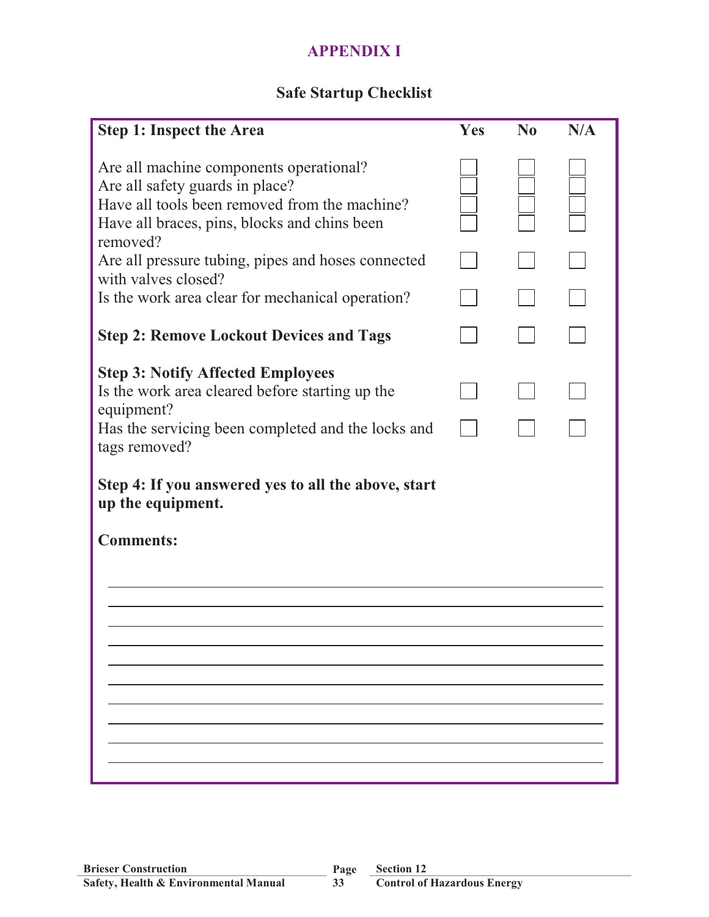# **APPENDIX I**

# **Safe Startup Checklist**

| <b>Step 1: Inspect the Area</b>                                                                                                                                                         | Yes | $\bf No$ | N/A |
|-----------------------------------------------------------------------------------------------------------------------------------------------------------------------------------------|-----|----------|-----|
| Are all machine components operational?<br>Are all safety guards in place?<br>Have all tools been removed from the machine?<br>Have all braces, pins, blocks and chins been<br>removed? |     |          |     |
| Are all pressure tubing, pipes and hoses connected<br>with valves closed?                                                                                                               |     |          |     |
| Is the work area clear for mechanical operation?                                                                                                                                        |     |          |     |
| <b>Step 2: Remove Lockout Devices and Tags</b>                                                                                                                                          |     |          |     |
| <b>Step 3: Notify Affected Employees</b><br>Is the work area cleared before starting up the<br>equipment?<br>Has the servicing been completed and the locks and<br>tags removed?        |     |          |     |
| Step 4: If you answered yes to all the above, start<br>up the equipment.                                                                                                                |     |          |     |
| <b>Comments:</b>                                                                                                                                                                        |     |          |     |
|                                                                                                                                                                                         |     |          |     |
|                                                                                                                                                                                         |     |          |     |
|                                                                                                                                                                                         |     |          |     |
|                                                                                                                                                                                         |     |          |     |
|                                                                                                                                                                                         |     |          |     |
|                                                                                                                                                                                         |     |          |     |